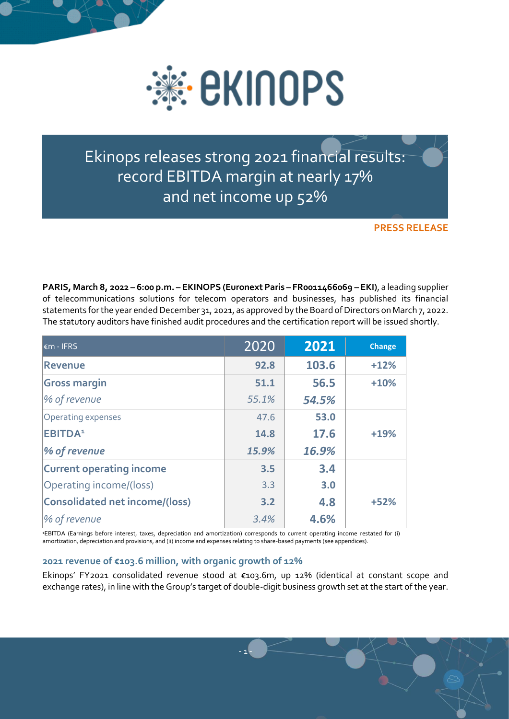

Ekinops releases strong 2021 financial results: record EBITDA margin at nearly 17% and net income up 52%

**PRESS RELEASE**

**PARIS, March 8, 2022 – 6:00 p.m. – EKINOPS (Euronext Paris – FR0011466069 – EKI)**, a leading supplier of telecommunications solutions for telecom operators and businesses, has published its financial statements for the year ended December 31, 2021, as approved by the Board of Directors on March 7, 2022. The statutory auditors have finished audit procedures and the certification report will be issued shortly.

| $\epsilon$ m - IFRS                   | 2020  | 2021  | <b>Change</b> |
|---------------------------------------|-------|-------|---------------|
| <b>Revenue</b>                        | 92.8  | 103.6 | $+12%$        |
| <b>Gross margin</b>                   | 51.1  | 56.5  | $+10%$        |
| % of revenue                          | 55.1% | 54.5% |               |
| Operating expenses                    | 47.6  | 53.0  |               |
| <b>EBITDA</b> <sup>1</sup>            | 14.8  | 17.6  | $+19%$        |
| % of revenue                          | 15.9% | 16.9% |               |
| <b>Current operating income</b>       | 3.5   | 3.4   |               |
| Operating income/(loss)               | 3.3   | 3.0   |               |
| <b>Consolidated net income/(loss)</b> | 3.2   | 4.8   | $+52%$        |
| <b>% of revenue</b>                   | 3.4%  | 4.6%  |               |

<sup>1</sup>EBITDA (Earnings before interest, taxes, depreciation and amortization) corresponds to current operating income restated for (i) amortization, depreciation and provisions, and (ii) income and expenses relating to share-based payments (see appendices).

## **2021 revenue of €103.6 million, with organic growth of 12%**

Ekinops' FY2021 consolidated revenue stood at €103.6m, up 12% (identical at constant scope and exchange rates), in line with the Group's target of double-digit business growth set at the start of the year.

- 1 -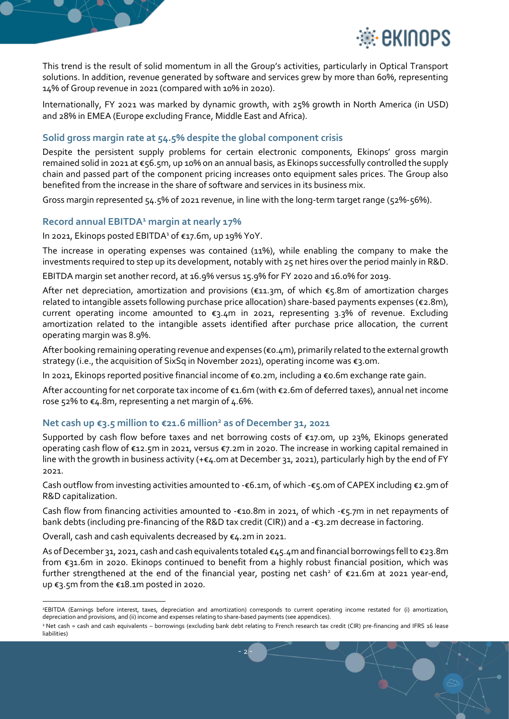



This trend is the result of solid momentum in all the Group's activities, particularly in Optical Transport solutions. In addition, revenue generated by software and services grew by more than 60%, representing 14% of Group revenue in 2021 (compared with 10% in 2020).

Internationally, FY 2021 was marked by dynamic growth, with 25% growth in North America (in USD) and 28% in EMEA (Europe excluding France, Middle East and Africa).

# **Solid gross margin rate at 54.5% despite the global component crisis**

Despite the persistent supply problems for certain electronic components, Ekinops' gross margin remained solid in 2021 at €56.5m, up 10% on an annual basis, as Ekinops successfully controlled the supply chain and passed part of the component pricing increases onto equipment sales prices. The Group also benefited from the increase in the share of software and services in its business mix.

Gross margin represented 54.5% of 2021 revenue, in line with the long-term target range (52%-56%).

## **Record annual EBITDA<sup>1</sup> margin at nearly 17%**

In 2021, Ekinops posted EBITDA<sup>1</sup> of €17.6m, up 19% YoY.

The increase in operating expenses was contained (11%), while enabling the company to make the investments required to step up its development, notably with 25 net hires over the period mainly in R&D.

EBITDA margin set another record, at 16.9% versus 15.9% for FY 2020 and 16.0% for 2019.

After net depreciation, amortization and provisions ( $\epsilon$ 11.3m, of which  $\epsilon$ 5.8m of amortization charges related to intangible assets following purchase price allocation) share-based payments expenses (€2.8m), current operating income amounted to  $\varepsilon_3.4$ m in 2021, representing 3.3% of revenue. Excluding amortization related to the intangible assets identified after purchase price allocation, the current operating margin was 8.9%.

After booking remaining operating revenue and expenses (€0.4m), primarily related to the external growth strategy (i.e., the acquisition of SixSq in November 2021), operating income was €3.0m.

In 2021, Ekinops reported positive financial income of €0.2m, including a €0.6m exchange rate gain.

After accounting for net corporate tax income of €1.6m (with €2.6m of deferred taxes), annual net income rose 52% to  $\epsilon$ 4.8m, representing a net margin of 4.6%.

# **Net cash up €3.5 million to €21.6 million<sup>2</sup> as of December 31, 2021**

Supported by cash flow before taxes and net borrowing costs of €17.0m, up 23%, Ekinops generated operating cash flow of €12.5m in 2021, versus €7.2m in 2020. The increase in working capital remained in line with the growth in business activity (+€4.0m at December 31, 2021), particularly high by the end of FY 2021.

Cash outflow from investing activities amounted to -€6.1m, of which -€5.0m of CAPEX including €2.9m of R&D capitalization.

Cash flow from financing activities amounted to -€10.8m in 2021, of which -€5.7m in net repayments of bank debts (including pre-financing of the R&D tax credit (CIR)) and a -€3.2m decrease in factoring.

Overall, cash and cash equivalents decreased by €4.2m in 2021.

As of December 31, 2021, cash and cash equivalents totaled  $\epsilon_4$ 5.4m and financial borrowings fell to  $\epsilon$ 23.8m from €31.6m in 2020. Ekinops continued to benefit from a highly robust financial position, which was further strengthened at the end of the financial year, posting net cash<sup>2</sup> of  $\epsilon$ 21.6m at 2021 year-end, up €3.5m from the €18.1m posted in 2020.

- 2 -

<sup>1</sup>EBITDA (Earnings before interest, taxes, depreciation and amortization) corresponds to current operating income restated for (i) amortization, depreciation and provisions, and (ii) income and expenses relating to share-based payments (see appendices).

<sup>2</sup> Net cash = cash and cash equivalents – borrowings (excluding bank debt relating to French research tax credit (CIR) pre-financing and IFRS 16 lease liabilities)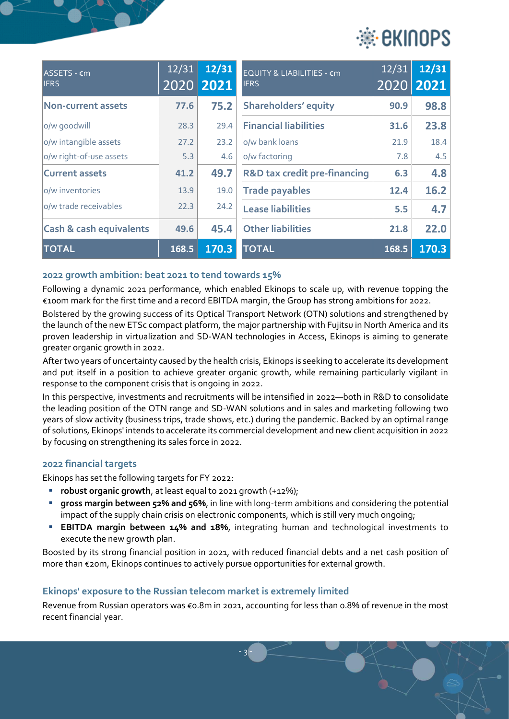

| ASSETS - €m<br><b>IFRS</b>         | 12/31 | 12/31<br>2020 2021 | EQUITY & LIABILITIES - €m<br><b>IFRS</b> | 12/31 | 12/31<br>2020 2021 |
|------------------------------------|-------|--------------------|------------------------------------------|-------|--------------------|
| Non-current assets                 | 77.6  | 75.2               | <b>Shareholders' equity</b>              | 90.9  | 98.8               |
| o/w goodwill                       | 28.3  | 29.4               | <b>Financial liabilities</b>             | 31.6  | 23.8               |
| o/w intangible assets              | 27.2  | 23.2               | o/w bank loans                           | 21.9  | 18.4               |
| o/w right-of-use assets            | 5.3   | 4.6                | o/w factoring                            | 7.8   | 4.5                |
| <b>Current assets</b>              | 41.2  | 49.7               | <b>R&amp;D tax credit pre-financing</b>  | 6.3   | 4.8                |
| lo/w inventories                   | 13.9  | 19.0               | <b>Trade payables</b>                    | 12.4  | 16.2               |
| lo/w trade receivables             | 22.3  | 24.2               | <b>Lease liabilities</b>                 | 5.5   | 4.7                |
| <b>Cash &amp; cash equivalents</b> | 49.6  | 45.4               | <b>Other liabilities</b>                 | 21.8  | 22.0               |
| <b>TOTAL</b>                       | 168.5 | 170.3              | <b>TOTAL</b>                             | 168.5 | 170.3              |

## **2022 growth ambition: beat 2021 to tend towards 15%**

Following a dynamic 2021 performance, which enabled Ekinops to scale up, with revenue topping the €100m mark for the first time and a record EBITDA margin, the Group has strong ambitions for 2022.

Bolstered by the growing success of its Optical Transport Network (OTN) solutions and strengthened by the launch of the new ETSc compact platform, the major partnership with Fujitsu in North America and its proven leadership in virtualization and SD-WAN technologies in Access, Ekinops is aiming to generate greater organic growth in 2022.

After two years of uncertainty caused by the health crisis, Ekinops is seeking to accelerate its development and put itself in a position to achieve greater organic growth, while remaining particularly vigilant in response to the component crisis that is ongoing in 2022.

In this perspective, investments and recruitments will be intensified in 2022—both in R&D to consolidate the leading position of the OTN range and SD-WAN solutions and in sales and marketing following two years of slow activity (business trips, trade shows, etc.) during the pandemic. Backed by an optimal range of solutions, Ekinops' intends to accelerate its commercial development and new client acquisition in 2022 by focusing on strengthening its sales force in 2022.

### **2022 financial targets**

Ekinops has set the following targets for FY 2022:

- **robust organic growth**, at least equal to 2021 growth (+12%);
- **The state of state is grown of the state of some of state is and considering the potential state is and repotential state of state potential** impact of the supply chain crisis on electronic components, which is still very much ongoing;
- **EBITDA margin between 14% and 18%**, integrating human and technological investments to execute the new growth plan.

Boosted by its strong financial position in 2021, with reduced financial debts and a net cash position of more than €20m, Ekinops continues to actively pursue opportunities for external growth.

#### **Ekinops' exposure to the Russian telecom market is extremely limited**

Revenue from Russian operators was €0.8m in 2021, accounting for less than 0.8% of revenue in the most recent financial year.

- 3 -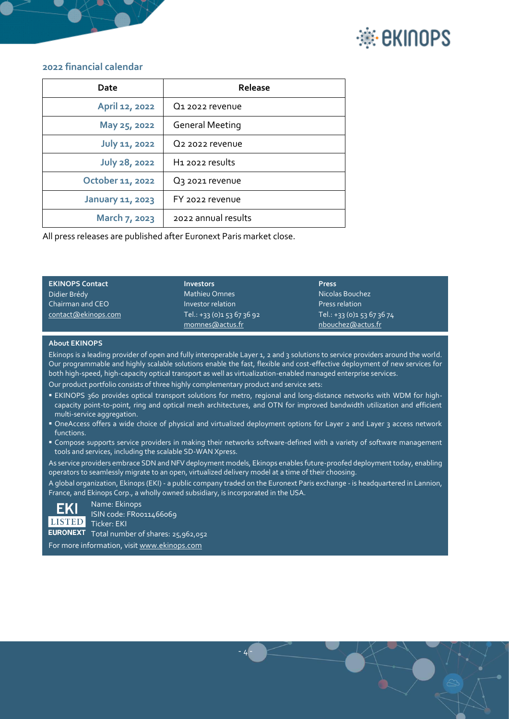



#### **2022 financial calendar**

| Date                    | Release                     |
|-------------------------|-----------------------------|
| April 12, 2022          | Q1 2022 revenue             |
| May 25, 2022            | <b>General Meeting</b>      |
| <b>July 11, 2022</b>    | Q <sub>2</sub> 2022 revenue |
| <b>July 28, 2022</b>    | H1 2022 results             |
| October 11, 2022        | Q <sub>3</sub> 2021 revenue |
| <b>January 11, 2023</b> | FY 2022 revenue             |
| March 7, 2023           | 2022 annual results         |

All press releases are published after Euronext Paris market close.

| <b>EKINOPS Contact</b> | <b>Investors</b>                              | <b>Press</b>                                    |
|------------------------|-----------------------------------------------|-------------------------------------------------|
| Didier Brédy           | <b>Mathieu Omnes</b>                          | Nicolas Bouchez                                 |
| Chairman and CEO       | Investor relation                             | Press relation                                  |
| contact@ekinops.com    | Tel.: +33 (0)1 53 67 36 92<br>momnes@actus.fr | Tel.: +33 (0)1 53 67 36 74<br>nbouchez@actus.fr |

#### **About EKINOPS**

Ekinops is a leading provider of open and fully interoperable Layer 1, 2 and 3 solutions to service providers around the world. Our programmable and highly scalable solutions enable the fast, flexible and cost-effective deployment of new services for both high-speed, high-capacity optical transport as well as virtualization-enabled managed enterprise services. Our product portfolio consists of three highly complementary product and service sets:

- EKINOPS 360 provides optical transport solutions for metro, regional and long-distance networks with WDM for highcapacity point-to-point, ring and optical mesh architectures, and OTN for improved bandwidth utilization and efficient multi-service aggregation.
- OneAccess offers a wide choice of physical and virtualized deployment options for Layer 2 and Layer 3 access network functions.
- Compose supports service providers in making their networks software-defined with a variety of software management tools and services, including the scalable SD-WAN Xpress.

As service providers embrace SDN and NFV deployment models, Ekinops enables future-proofed deployment today, enabling operators to seamlessly migrate to an open, virtualized delivery model at a time of their choosing.

A global organization, Ekinops (EKI) - a public company traded on the Euronext Paris exchange - is headquartered in Lannion, France, and Ekinops Corp., a wholly owned subsidiary, is incorporated in the USA.

- 4 -



Name: Ekinops ISIN code: FR0011466069 Ticker: EKI EURONEXT Total number of shares: 25,962,052

For more information, visi[t www.ekinops.com](http://www.ekinops.com/)